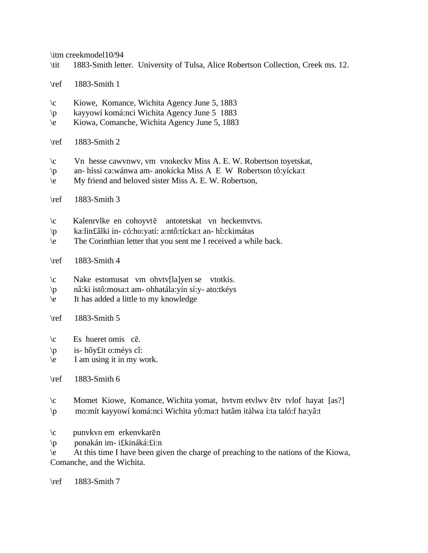\itm creekmodel10/94

- \tit 1883-Smith letter. University of Tulsa, Alice Robertson Collection, Creek ms. 12.
- \ref 1883-Smith 1
- \c Kiowe, Komance, Wichita Agency June 5, 1883
- \p kayyowí komá:nci Wichita Agency June 5 1883
- \e Kiowa, Comanche, Wichita Agency June 5, 1883
- \ref 1883-Smith 2
- \c Vn hesse cawvnwv, vm vnokeckv Miss A. E. W. Robertson toyetskat,
- \p an- híssi ca:wánwa am- anokícka Miss A E W Robertson tô:yícka:t
- \e My friend and beloved sister Miss A. E. W. Robertson,
- \ref 1883-Smith 3
- $\c$  Kalenrvlke en cohoyvte antotetskat vn heckemvtvs.
- \p ka:lin£âlki in- có:ho:yatí: a:ntô:tícka:t an- hî:ckimátas
- \e The Corinthian letter that you sent me I received a while back.
- \ref 1883-Smith 4
- \c Nake estomusat vm ohvtv[la]yen se vtotkis.
- \p nâ:ki istô:mosa:t am- ohhatála:yín sí:y- ato:tkéys
- \e It has added a little to my knowledge
- \ref 1883-Smith 5
- $\c$  Es hueret omis c $\bar{e}$ .
- \p is- hôy£it o:méys cî:
- \e I am using it in my work.

\ref 1883-Smith 6

- $\c$  Momet Kiowe, Komance, Wichita yomat, hvtvm etvlwv  $\bar{e}$ tv tvlof hayat [as?] \p mo:mít kayyowí komá:nci Wichita yô:ma:t hatâm itálwa í:ta taló:f ha:yâ:t
- $\c$  punvkvn em erkenvkarēn
- \p ponakán im- i£kináká:£i:n

\e At this time I have been given the charge of preaching to the nations of the Kiowa, Comanche, and the Wichita.

\ref 1883-Smith 7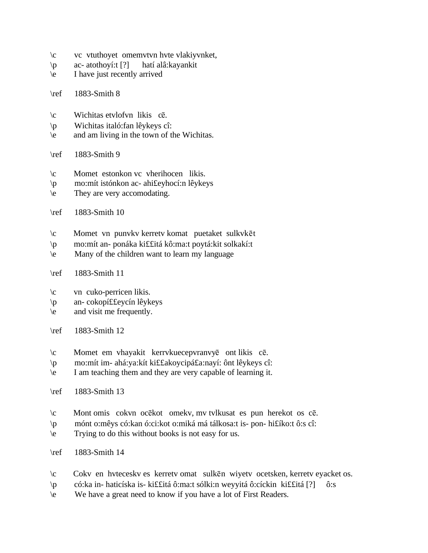| $\setminus c$<br>$\mathsf{p}$<br>$\backslash e$  | vc vtuthoyet omemvtvn hvte vlakiyvnket,<br>ac-atothoyí: $[?]$<br>hatí alâ: kayankit<br>I have just recently arrived                                                                                         |
|--------------------------------------------------|-------------------------------------------------------------------------------------------------------------------------------------------------------------------------------------------------------------|
| $\ref$                                           | 1883-Smith 8                                                                                                                                                                                                |
| $\setminus c$<br>$\mathsf{p}$<br>$\backslash e$  | Wichitas etylofyn likis cē.<br>Wichitas italó: fan lêykeys cî:<br>and am living in the town of the Wichitas.                                                                                                |
| $\ref$                                           | 1883-Smith 9                                                                                                                                                                                                |
| $\setminus c$<br>$\mathsf{p}$<br>$\backslash e$  | Momet estonkon vc vherihocen likis.<br>mo: mít istónkon ac- ahi£eyhocí: n lêykeys<br>They are very accomodating.                                                                                            |
| $\ref$                                           | 1883-Smith 10                                                                                                                                                                                               |
| $\setminus c$<br>$\mathcal{P}$<br>$\backslash e$ | Momet vn punyky kerrety komat puetaket sulkyket<br>mo:mít an- ponáka kiffitá kô:ma:t poytá:kit solkakí:t<br>Many of the children want to learn my language                                                  |
| $\ref$                                           | 1883-Smith 11                                                                                                                                                                                               |
| $\setminus c$<br>$\mathsf{p}$<br>$\backslash e$  | vn cuko-perricen likis.<br>an-cokopí££eycín lêykeys<br>and visit me frequently.                                                                                                                             |
| $\ref$                                           | 1883-Smith 12                                                                                                                                                                                               |
| $\setminus c$<br>$\mathsf{p}$<br>$\backslash e$  | Momet em vhayakit kerrvkuecepvranvyē ontlikis cē.<br>mo:mít im- ahá:ya:kít kiffakoycipáfa:nayí: ônt lêykeys cî:<br>I am teaching them and they are very capable of learning it.                             |
| $\ref$                                           | 1883-Smith 13                                                                                                                                                                                               |
| $\setminus c$<br>$\mathsf{p}$<br>$\backslash e$  | Mont omis cokvn ocekot omekv, my tvlkusat es pun herekot os ce.<br>mónt o: mêys có: kan ó: ci: kot o: miká má tálkosa: t is- pon- hi£íko: t ô: s cî:<br>Trying to do this without books is not easy for us. |
| $\ref$                                           | 1883-Smith 14                                                                                                                                                                                               |
| $\setminus c$<br>$\mathbf{p}$                    | Cokv en hytecesky es kerrety omat sulken wiyety ocetsken, kerrety eyacket os.<br>có: ka in-haticíska is- ki££itá ô: ma: t sólki: n weyyitá ô: cíckin ki££itá [?]<br>ô:s                                     |

\e We have a great need to know if you have a lot of First Readers.